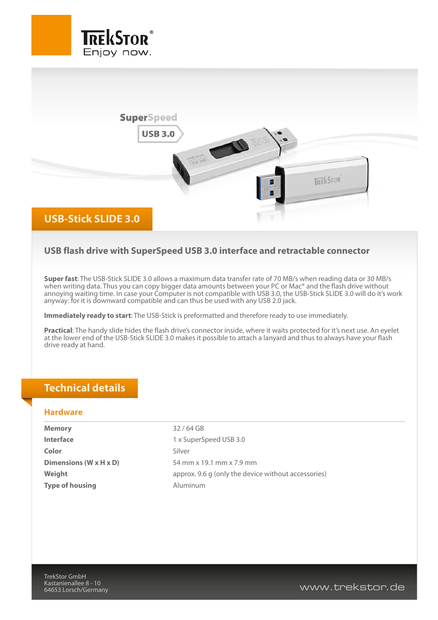



### **USB flash drive with SuperSpeed USB 3.0 interface and retractable connector**

**Super fast**: The USB-Stick SLIDE 3.0 allows a maximum data transfer rate of 70 MB/s when reading data or 30 MB/s when writing data. Thus you can copy bigger data amounts between your PC or Mac<sup>®</sup> and the flash drive without annoying waiting time. In case your Computer is not compatible with USB 3.0, the USB-Stick SLIDE 3.0 will do it's work anyway: for it is downward compatible and can thus be used with any USB 2.0 jack.

**Immediately ready to start**: The USB-Stick is preformatted and therefore ready to use immediately.

**Practical**: The handy slide hides the flash drive's connector inside, where it waits protected for it's next use. An eyelet at the lower end of the USB-Stick SLIDE 3.0 makes it possible to attach a lanyard and thus to always have your flash drive ready at hand.

## **Technical details**

#### **Hardware**

**Memory** 32 / 64 GB **Interface** 1 x SuperSpeed USB 3.0 **Color** Silver **Type of housing Aluminum** 

**Dimensions (W x H x D)** 54 mm x 19.1 mm x 7.9 mm **Weight approx.** 9.6 g (only the device without accessories)